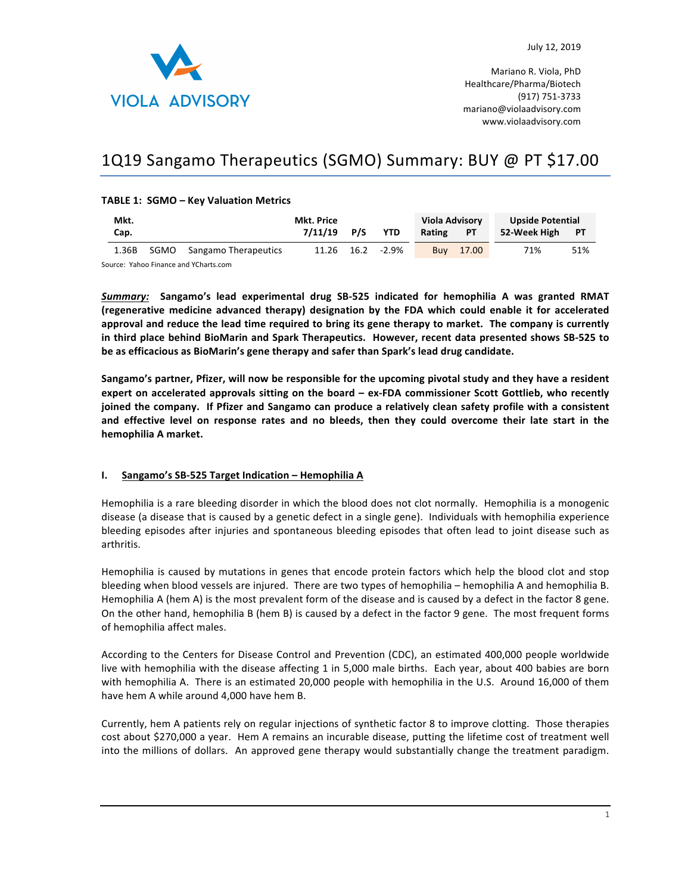

Mariano R. Viola, PhD Healthcare/Pharma/Biotech (917) 751-3733 mariano@violaadvisory.com www.violaadvisory.com

# 1Q19 Sangamo Therapeutics (SGMO) Summary: BUY @ PT \$17.00

# **TABLE 1: SGMO - Key Valuation Metrics**

| Mkt.  |  |                           | Mkt. Price    |  |                  | <b>Viola Advisory</b> |           | <b>Upside Potential</b> |     |
|-------|--|---------------------------|---------------|--|------------------|-----------------------|-----------|-------------------------|-----|
| Cap.  |  |                           | $7/11/19$ P/S |  | <b>YTD</b>       | Rating                | <b>PT</b> | 52-Week High PT         |     |
| 1.36B |  | SGMO Sangamo Therapeutics |               |  | 11.26 16.2 -2.9% | <b>Buy</b>            | 17.00     | 71%                     | 51% |

Source: Yahoo Finance and YCharts.com

Summary: Sangamo's lead experimental drug SB-525 indicated for hemophilia A was granted RMAT **(regenerative medicine advanced therapy) designation by the FDA which could enable it for accelerated**  approval and reduce the lead time required to bring its gene therapy to market. The company is currently in third place behind BioMarin and Spark Therapeutics. However, recent data presented shows SB-525 to be as efficacious as BioMarin's gene therapy and safer than Spark's lead drug candidate.

Sangamo's partner, Pfizer, will now be responsible for the upcoming pivotal study and they have a resident expert on accelerated approvals sitting on the board – ex-FDA commissioner Scott Gottlieb, who recently joined the company. If Pfizer and Sangamo can produce a relatively clean safety profile with a consistent and effective level on response rates and no bleeds, then they could overcome their late start in the hemophilia A market.

## **I.** Sangamo's SB-525 Target Indication – Hemophilia A

Hemophilia is a rare bleeding disorder in which the blood does not clot normally. Hemophilia is a monogenic disease (a disease that is caused by a genetic defect in a single gene). Individuals with hemophilia experience bleeding episodes after injuries and spontaneous bleeding episodes that often lead to joint disease such as arthritis. 

Hemophilia is caused by mutations in genes that encode protein factors which help the blood clot and stop bleeding when blood vessels are injured. There are two types of hemophilia – hemophilia A and hemophilia B. Hemophilia A (hem A) is the most prevalent form of the disease and is caused by a defect in the factor 8 gene. On the other hand, hemophilia B (hem B) is caused by a defect in the factor 9 gene. The most frequent forms of hemophilia affect males.

According to the Centers for Disease Control and Prevention (CDC), an estimated 400,000 people worldwide live with hemophilia with the disease affecting 1 in 5,000 male births. Each year, about 400 babies are born with hemophilia A. There is an estimated 20,000 people with hemophilia in the U.S. Around 16,000 of them have hem A while around 4,000 have hem B.

Currently, hem A patients rely on regular injections of synthetic factor 8 to improve clotting. Those therapies cost about \$270,000 a year. Hem A remains an incurable disease, putting the lifetime cost of treatment well into the millions of dollars. An approved gene therapy would substantially change the treatment paradigm.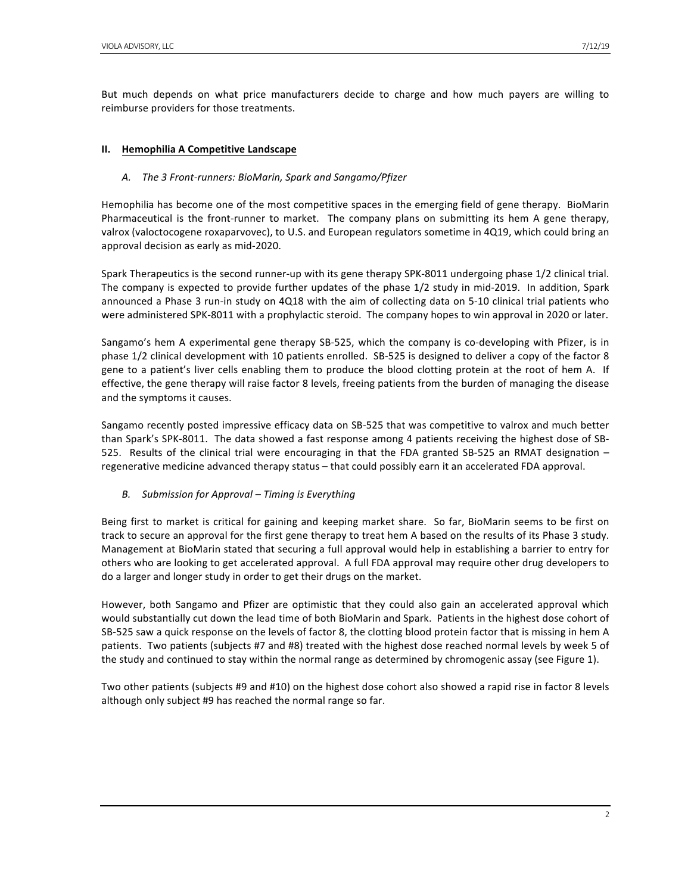But much depends on what price manufacturers decide to charge and how much payers are willing to reimburse providers for those treatments.

# **II.** Hemophilia A Competitive Landscape

# A. The 3 Front-runners: BioMarin, Spark and Sangamo/Pfizer

Hemophilia has become one of the most competitive spaces in the emerging field of gene therapy. BioMarin Pharmaceutical is the front-runner to market. The company plans on submitting its hem A gene therapy, valrox (valoctocogene roxaparvovec), to U.S. and European regulators sometime in 4Q19, which could bring an approval decision as early as mid-2020.

Spark Therapeutics is the second runner-up with its gene therapy SPK-8011 undergoing phase 1/2 clinical trial. The company is expected to provide further updates of the phase 1/2 study in mid-2019. In addition, Spark announced a Phase 3 run-in study on 4Q18 with the aim of collecting data on 5-10 clinical trial patients who were administered SPK-8011 with a prophylactic steroid. The company hopes to win approval in 2020 or later.

Sangamo's hem A experimental gene therapy SB-525, which the company is co-developing with Pfizer, is in phase 1/2 clinical development with 10 patients enrolled. SB-525 is designed to deliver a copy of the factor 8 gene to a patient's liver cells enabling them to produce the blood clotting protein at the root of hem A. If effective, the gene therapy will raise factor 8 levels, freeing patients from the burden of managing the disease and the symptoms it causes.

Sangamo recently posted impressive efficacy data on SB-525 that was competitive to valrox and much better than Spark's SPK-8011. The data showed a fast response among 4 patients receiving the highest dose of SB-525. Results of the clinical trial were encouraging in that the FDA granted SB-525 an RMAT designation  $$ regenerative medicine advanced therapy status – that could possibly earn it an accelerated FDA approval.

# *B. Submission for Approval – Timing is Everything*

Being first to market is critical for gaining and keeping market share. So far, BioMarin seems to be first on track to secure an approval for the first gene therapy to treat hem A based on the results of its Phase 3 study. Management at BioMarin stated that securing a full approval would help in establishing a barrier to entry for others who are looking to get accelerated approval. A full FDA approval may require other drug developers to do a larger and longer study in order to get their drugs on the market.

However, both Sangamo and Pfizer are optimistic that they could also gain an accelerated approval which would substantially cut down the lead time of both BioMarin and Spark. Patients in the highest dose cohort of SB-525 saw a quick response on the levels of factor 8, the clotting blood protein factor that is missing in hem A patients. Two patients (subjects #7 and #8) treated with the highest dose reached normal levels by week 5 of the study and continued to stay within the normal range as determined by chromogenic assay (see Figure 1).

Two other patients (subjects #9 and #10) on the highest dose cohort also showed a rapid rise in factor 8 levels although only subject #9 has reached the normal range so far.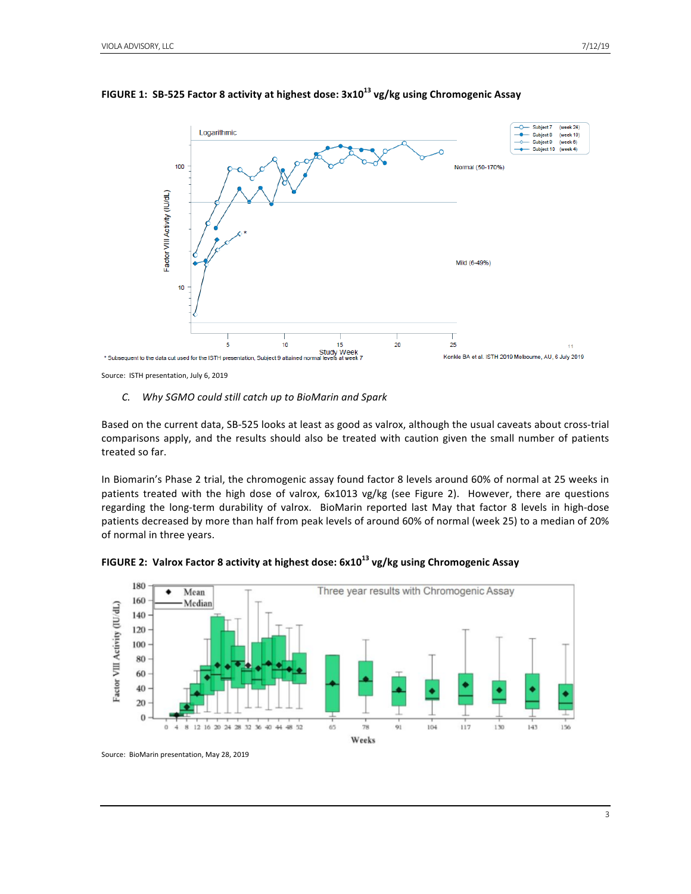

# **FIGURE** 1: SB-525 Factor 8 activity at highest dose:  $3x10^{13}$  vg/kg using Chromogenic Assay

Source: ISTH presentation, July 6, 2019

## *C. Why SGMO could still catch up to BioMarin and Spark*

Based on the current data, SB-525 looks at least as good as valrox, although the usual caveats about cross-trial comparisons apply, and the results should also be treated with caution given the small number of patients treated so far.

In Biomarin's Phase 2 trial, the chromogenic assay found factor 8 levels around 60% of normal at 25 weeks in patients treated with the high dose of valrox,  $6x1013$  vg/kg (see Figure 2). However, there are questions regarding the long-term durability of valrox. BioMarin reported last May that factor 8 levels in high-dose patients decreased by more than half from peak levels of around 60% of normal (week 25) to a median of 20% of normal in three years.



FIGURE 2: Valrox Factor 8 activity at highest dose:  $6x10^{13}$  vg/kg using Chromogenic Assay

Source: BioMarin presentation, May 28, 2019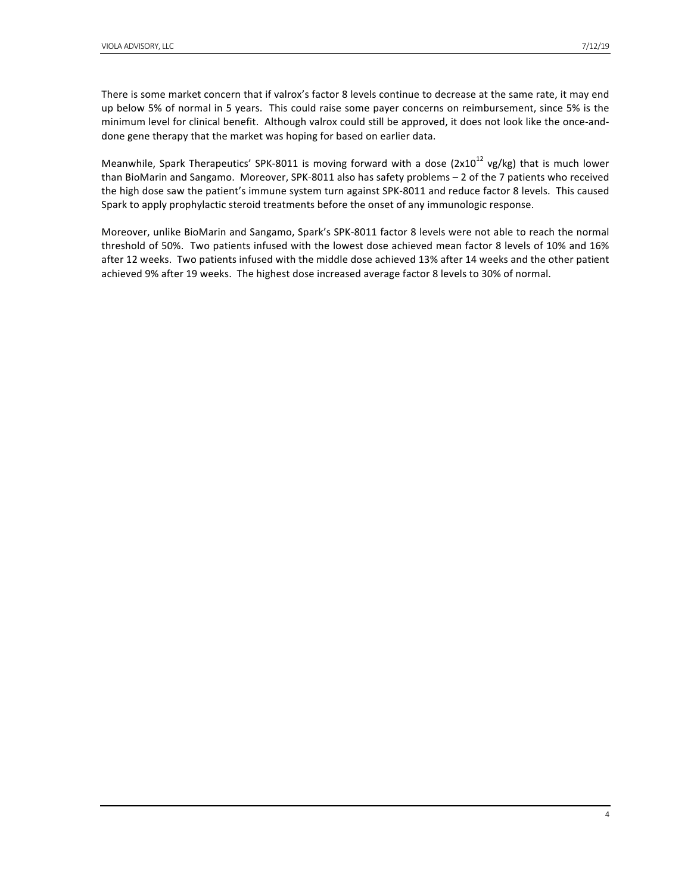There is some market concern that if valrox's factor 8 levels continue to decrease at the same rate, it may end up below 5% of normal in 5 years. This could raise some payer concerns on reimbursement, since 5% is the minimum level for clinical benefit. Although valrox could still be approved, it does not look like the once-anddone gene therapy that the market was hoping for based on earlier data.

Meanwhile, Spark Therapeutics' SPK-8011 is moving forward with a dose  $(2x10^{12} \text{ vg/kg})$  that is much lower than BioMarin and Sangamo. Moreover, SPK-8011 also has safety problems - 2 of the 7 patients who received the high dose saw the patient's immune system turn against SPK-8011 and reduce factor 8 levels. This caused Spark to apply prophylactic steroid treatments before the onset of any immunologic response.

Moreover, unlike BioMarin and Sangamo, Spark's SPK-8011 factor 8 levels were not able to reach the normal threshold of 50%. Two patients infused with the lowest dose achieved mean factor 8 levels of 10% and 16% after 12 weeks. Two patients infused with the middle dose achieved 13% after 14 weeks and the other patient achieved 9% after 19 weeks. The highest dose increased average factor 8 levels to 30% of normal.